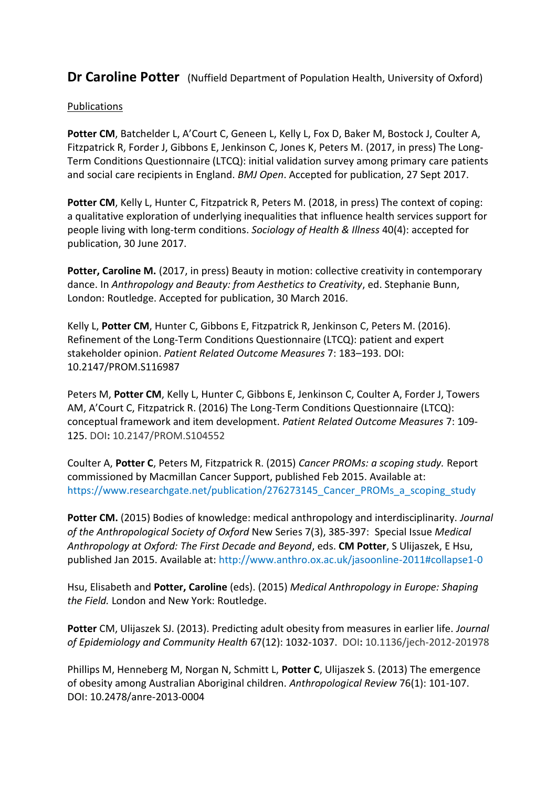**Dr Caroline Potter** (Nuffield Department of Population Health, University of Oxford)

## Publications

**Potter CM**, Batchelder L, A'Court C, Geneen L, Kelly L, Fox D, Baker M, Bostock J, Coulter A, Fitzpatrick R, Forder J, Gibbons E, Jenkinson C, Jones K, Peters M. (2017, in press) The Long-Term Conditions Questionnaire (LTCQ): initial validation survey among primary care patients and social care recipients in England. *BMJ Open*. Accepted for publication, 27 Sept 2017.

**Potter CM**, Kelly L, Hunter C, Fitzpatrick R, Peters M. (2018, in press) The context of coping: a qualitative exploration of underlying inequalities that influence health services support for people living with long-term conditions. *Sociology of Health & Illness* 40(4): accepted for publication, 30 June 2017.

Potter, Caroline M. (2017, in press) Beauty in motion: collective creativity in contemporary dance. In *Anthropology and Beauty: from Aesthetics to Creativity*, ed. Stephanie Bunn, London: Routledge. Accepted for publication, 30 March 2016.

Kelly L, **Potter CM**, Hunter C, Gibbons E, Fitzpatrick R, Jenkinson C, Peters M. (2016). Refinement of the Long-Term Conditions Questionnaire (LTCQ): patient and expert stakeholder opinion. *Patient Related Outcome Measures* 7: 183–193. DOI: [10.2147/PROM.S116987](https://dx.doi.org/10.2147/PROM.S116987)

Peters M, **Potter CM**, Kelly L, Hunter C, Gibbons E, Jenkinson C, Coulter A, Forder J, Towers AM, A'Court C, Fitzpatrick R. (2016) The Long-Term Conditions Questionnaire (LTCQ): conceptual framework and item development. *Patient Related Outcome Measures* 7: 109- 125. DOI**:** 10.2147/PROM.S104552

Coulter A, **Potter C**, Peters M, Fitzpatrick R. (2015) *Cancer PROMs: a scoping study.* Report commissioned by Macmillan Cancer Support, published Feb 2015. Available at: https://www.researchgate.net/publication/276273145 Cancer\_PROMs\_a\_scoping\_study

**Potter CM.** (2015) Bodies of knowledge: medical anthropology and interdisciplinarity. *Journal of the Anthropological Society of Oxford* New Series 7(3), 385-397: Special Issue *Medical Anthropology at Oxford: The First Decade and Beyond*, eds. **CM Potter**, S Ulijaszek, E Hsu, published Jan 2015. Available at:<http://www.anthro.ox.ac.uk/jasoonline-2011#collapse1-0>

Hsu, Elisabeth and **Potter, Caroline** (eds). (2015) *Medical Anthropology in Europe: Shaping the Field.* London and New York: Routledge.

**Potter** CM, Ulijaszek SJ. (2013). Predicting adult obesity from measures in earlier life. *Journal of Epidemiology and Community Health* 67(12): 1032-1037. DOI**:** 10.1136/jech-2012-201978

Phillips M, Henneberg M, Norgan N, Schmitt L, **Potter C**, Ulijaszek S. (2013) The emergence of obesity among Australian Aboriginal children. *Anthropological Review* 76(1): 101-107. DOI: 10.2478/anre-2013-0004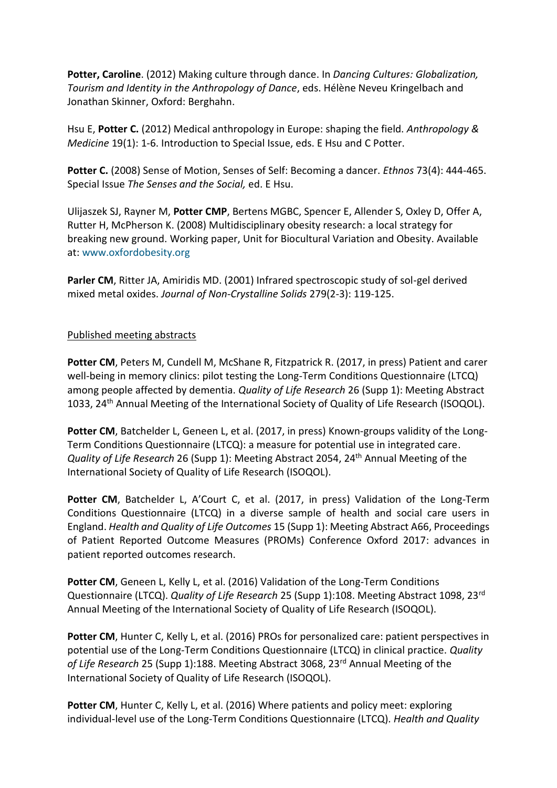**Potter, Caroline**. (2012) Making culture through dance. In *Dancing Cultures: Globalization, Tourism and Identity in the Anthropology of Dance*, eds. Hélène Neveu Kringelbach and Jonathan Skinner, Oxford: Berghahn.

Hsu E, **Potter C.** (2012) Medical anthropology in Europe: shaping the field. *Anthropology & Medicine* 19(1): 1-6. Introduction to Special Issue, eds. E Hsu and C Potter.

**Potter C.** (2008) Sense of Motion, Senses of Self: Becoming a dancer. *Ethnos* 73(4): 444-465. Special Issue *The Senses and the Social,* ed. E Hsu.

Ulijaszek SJ, Rayner M, **Potter CMP**, Bertens MGBC, Spencer E, Allender S, Oxley D, Offer A, Rutter H, McPherson K. (2008) Multidisciplinary obesity research: a local strategy for breaking new ground. Working paper, Unit for Biocultural Variation and Obesity. Available at: [www.oxfordobesity.org](http://www.oxfordobesity.org/)

**Parler CM**, Ritter JA, Amiridis MD. (2001) Infrared spectroscopic study of sol-gel derived mixed metal oxides. *Journal of Non-Crystalline Solids* 279(2-3): 119-125.

## Published meeting abstracts

**Potter CM**, Peters M, Cundell M, McShane R, Fitzpatrick R. (2017, in press) Patient and carer well-being in memory clinics: pilot testing the Long-Term Conditions Questionnaire (LTCQ) among people affected by dementia. *Quality of Life Research* 26 (Supp 1): Meeting Abstract 1033, 24<sup>th</sup> Annual Meeting of the International Society of Quality of Life Research (ISOQOL).

**Potter CM**, Batchelder L, Geneen L, et al. (2017, in press) Known-groups validity of the Long-Term Conditions Questionnaire (LTCQ): a measure for potential use in integrated care. *Quality of Life Research* 26 (Supp 1): Meeting Abstract 2054, 24<sup>th</sup> Annual Meeting of the International Society of Quality of Life Research (ISOQOL).

Potter CM, Batchelder L, A'Court C, et al. (2017, in press) Validation of the Long-Term Conditions Questionnaire (LTCQ) in a diverse sample of health and social care users in England. *Health and Quality of Life Outcomes* 15 (Supp 1): Meeting Abstract A66, Proceedings of Patient Reported Outcome Measures (PROMs) Conference Oxford 2017: advances in patient reported outcomes research.

**Potter CM**, Geneen L, Kelly L, et al. (2016) Validation of the Long-Term Conditions Questionnaire (LTCQ). *Quality of Life Research* 25 (Supp 1):108. Meeting Abstract 1098, 23rd Annual Meeting of the International Society of Quality of Life Research (ISOQOL).

**Potter CM**, Hunter C, Kelly L, et al. (2016) PROs for personalized care: patient perspectives in potential use of the Long-Term Conditions Questionnaire (LTCQ) in clinical practice. *Quality of Life Research* 25 (Supp 1):188. Meeting Abstract 3068, 23rd Annual Meeting of the International Society of Quality of Life Research (ISOQOL).

**Potter CM**, Hunter C, Kelly L, et al. (2016) Where patients and policy meet: exploring individual-level use of the Long-Term Conditions Questionnaire (LTCQ). *Health and Quality*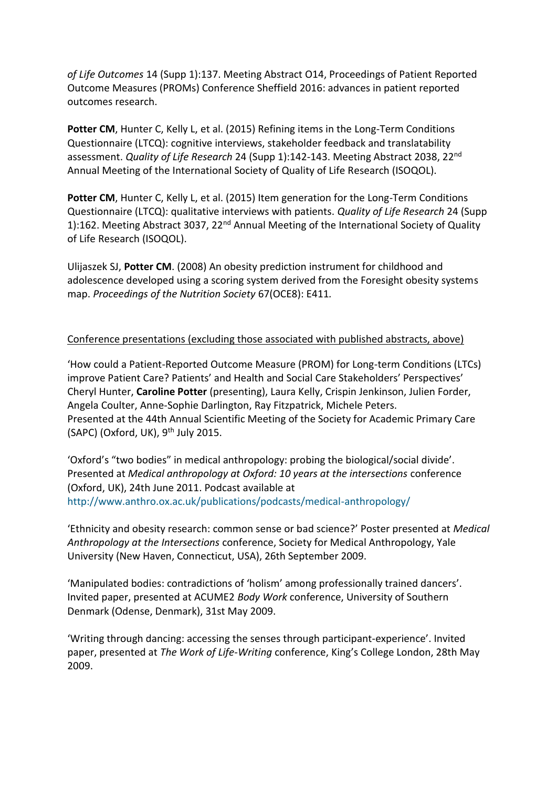*of Life Outcomes* 14 (Supp 1):137. Meeting Abstract O14, Proceedings of Patient Reported Outcome Measures (PROMs) Conference Sheffield 2016: advances in patient reported outcomes research.

Potter CM, Hunter C, Kelly L, et al. (2015) Refining items in the Long-Term Conditions Questionnaire (LTCQ): cognitive interviews, stakeholder feedback and translatability assessment. *Quality of Life Research* 24 (Supp 1):142-143. Meeting Abstract 2038, 22nd Annual Meeting of the International Society of Quality of Life Research (ISOQOL).

Potter CM, Hunter C, Kelly L, et al. (2015) Item generation for the Long-Term Conditions Questionnaire (LTCQ): qualitative interviews with patients. *Quality of Life Research* 24 (Supp 1):162. Meeting Abstract 3037, 22<sup>nd</sup> Annual Meeting of the International Society of Quality of Life Research (ISOQOL).

Ulijaszek SJ, **Potter CM**. (2008) An obesity prediction instrument for childhood and adolescence developed using a scoring system derived from the Foresight obesity systems map. *Proceedings of the Nutrition Society* 67(OCE8): E411*.*

## Conference presentations (excluding those associated with published abstracts, above)

'How could a Patient-Reported Outcome Measure (PROM) for Long-term Conditions (LTCs) improve Patient Care? Patients' and Health and Social Care Stakeholders' Perspectives' Cheryl Hunter, **Caroline Potter** (presenting), Laura Kelly, Crispin Jenkinson, Julien Forder, Angela Coulter, Anne-Sophie Darlington, Ray Fitzpatrick, Michele Peters. Presented at the 44th Annual Scientific Meeting of the Society for Academic Primary Care (SAPC) (Oxford, UK), 9<sup>th</sup> July 2015.

'Oxford's "two bodies" in medical anthropology: probing the biological/social divide'. Presented at *Medical anthropology at Oxford: 10 years at the intersections* conference (Oxford, UK), 24th June 2011. Podcast available at <http://www.anthro.ox.ac.uk/publications/podcasts/medical-anthropology/>

'Ethnicity and obesity research: common sense or bad science?' Poster presented at *Medical Anthropology at the Intersections* conference, Society for Medical Anthropology, Yale University (New Haven, Connecticut, USA), 26th September 2009.

'Manipulated bodies: contradictions of 'holism' among professionally trained dancers'. Invited paper, presented at ACUME2 *Body Work* conference, University of Southern Denmark (Odense, Denmark), 31st May 2009.

'Writing through dancing: accessing the senses through participant-experience'. Invited paper, presented at *The Work of Life-Writing* conference, King's College London, 28th May 2009.